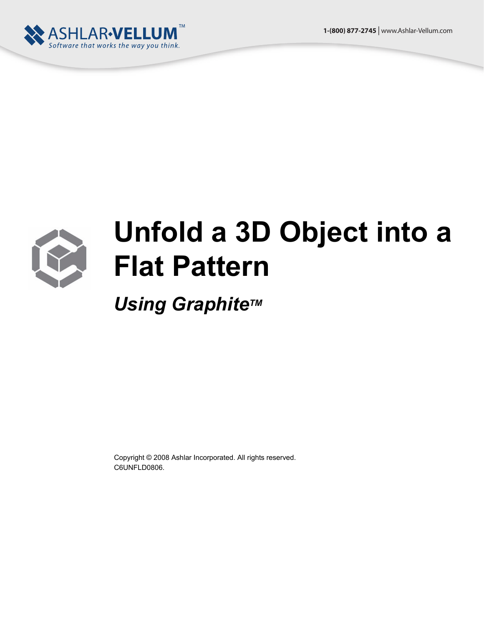



## **Unfold a 3D Object into a Flat Pattern**

*Using Graphite™* 

Copyright © 2008 Ashlar Incorporated. All rights reserved. C6UNFLD0806.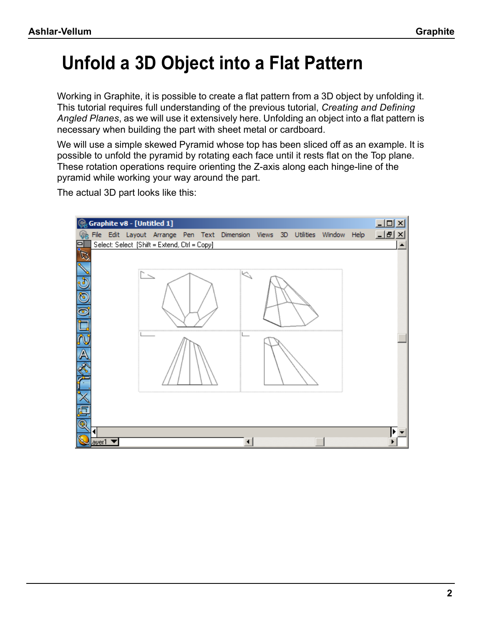## **Unfold a 3D Object into a Flat Pattern**

Working in Graphite, it is possible to create a flat pattern from a 3D object by unfolding it. This tutorial requires full understanding of the previous tutorial, *Creating and Defining Angled Planes*, as we will use it extensively here. Unfolding an object into a flat pattern is necessary when building the part with sheet metal or cardboard.

We will use a simple skewed Pyramid whose top has been sliced off as an example. It is possible to unfold the pyramid by rotating each face until it rests flat on the Top plane. These rotation operations require orienting the Z-axis along each hinge-line of the pyramid while working your way around the part.

The actual 3D part looks like this:

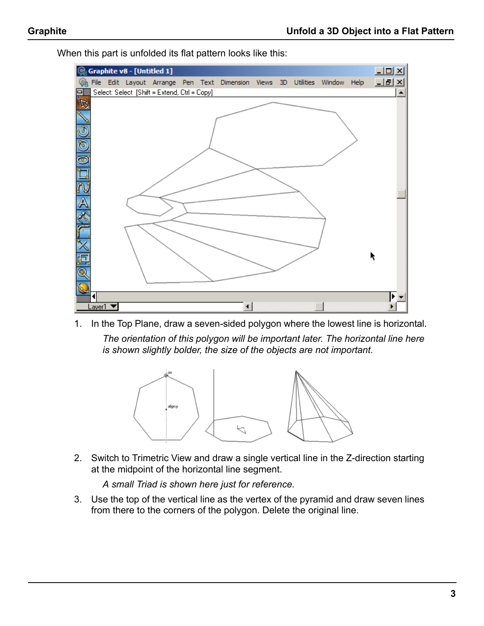

When this part is unfolded its flat pattern looks like this:

1. In the Top Plane, draw a seven-sided polygon where the lowest line is horizontal. *The orientation of this polygon will be important later. The horizontal line here is shown slightly bolder, the size of the objects are not important.*



2. Switch to Trimetric View and draw a single vertical line in the Z-direction starting at the midpoint of the horizontal line segment.

*A small Triad is shown here just for reference.*

3. Use the top of the vertical line as the vertex of the pyramid and draw seven lines from there to the corners of the polygon. Delete the original line.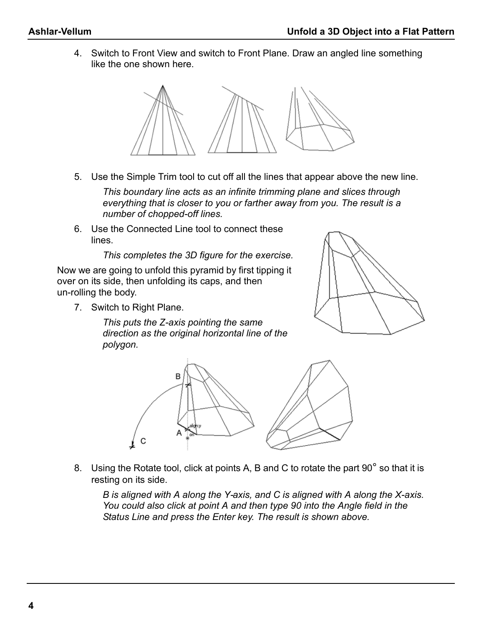4. Switch to Front View and switch to Front Plane. Draw an angled line something like the one shown here.



5. Use the Simple Trim tool to cut off all the lines that appear above the new line.

*This boundary line acts as an infinite trimming plane and slices through everything that is closer to you or farther away from you. The result is a number of chopped-off lines.*

6. Use the Connected Line tool to connect these lines.

*This completes the 3D figure for the exercise.*

Now we are going to unfold this pyramid by first tipping it over on its side, then unfolding its caps, and then un-rolling the body.

7. Switch to Right Plane.

*This puts the Z-axis pointing the same direction as the original horizontal line of the polygon.*





8. Using the Rotate tool, click at points A, B and C to rotate the part 90° so that it is resting on its side.

*B is aligned with A along the Y-axis, and C is aligned with A along the X-axis. You could also click at point A and then type 90 into the Angle field in the Status Line and press the Enter key. The result is shown above.*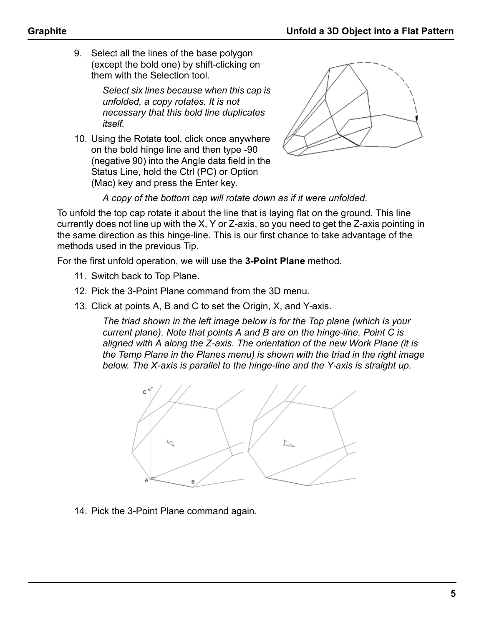9. Select all the lines of the base polygon (except the bold one) by shift-clicking on them with the Selection tool.

> *Select six lines because when this cap is unfolded, a copy rotates. It is not necessary that this bold line duplicates itself.*

10. Using the Rotate tool, click once anywhere on the bold hinge line and then type -90 (negative 90) into the Angle data field in the Status Line, hold the Ctrl (PC) or Option (Mac) key and press the Enter key.



*A copy of the bottom cap will rotate down as if it were unfolded.*

To unfold the top cap rotate it about the line that is laying flat on the ground. This line currently does not line up with the X, Y or Z-axis, so you need to get the Z-axis pointing in the same direction as this hinge-line. This is our first chance to take advantage of the methods used in the previous Tip.

For the first unfold operation, we will use the **3-Point Plane** method.

- 11. Switch back to Top Plane.
- 12. Pick the 3-Point Plane command from the 3D menu.
- 13. Click at points A, B and C to set the Origin, X, and Y-axis.

*The triad shown in the left image below is for the Top plane (which is your current plane). Note that points A and B are on the hinge-line. Point C is aligned with A along the Z-axis. The orientation of the new Work Plane (it is the Temp Plane in the Planes menu) is shown with the triad in the right image below. The X-axis is parallel to the hinge-line and the Y-axis is straight up.*



14. Pick the 3-Point Plane command again.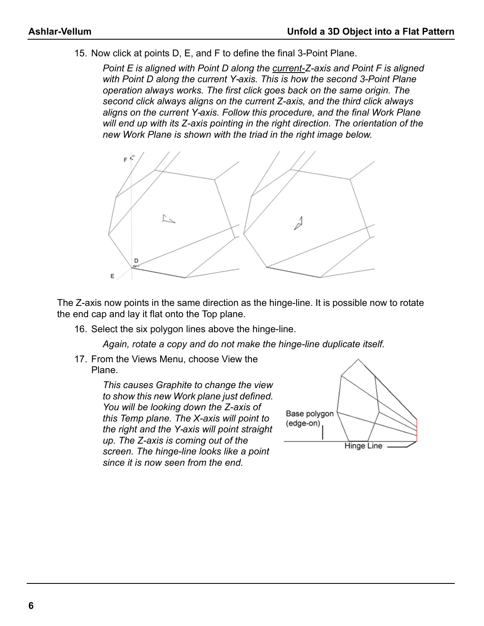15. Now click at points D, E, and F to define the final 3-Point Plane.

*Point E is aligned with Point D along the current-Z-axis and Point F is aligned with Point D along the current Y-axis. This is how the second 3-Point Plane operation always works. The first click goes back on the same origin. The second click always aligns on the current Z-axis, and the third click always aligns on the current Y-axis. Follow this procedure, and the final Work Plane will end up with its Z-axis pointing in the right direction. The orientation of the new Work Plane is shown with the triad in the right image below.*



The Z-axis now points in the same direction as the hinge-line. It is possible now to rotate the end cap and lay it flat onto the Top plane.

16. Select the six polygon lines above the hinge-line.

*Again, rotate a copy and do not make the hinge-line duplicate itself.*

17. From the Views Menu, choose View the Plane.

> *This causes Graphite to change the view to show this new Work plane just defined. You will be looking down the Z-axis of this Temp plane. The X-axis will point to the right and the Y-axis will point straight up. The Z-axis is coming out of the screen. The hinge-line looks like a point since it is now seen from the end.*

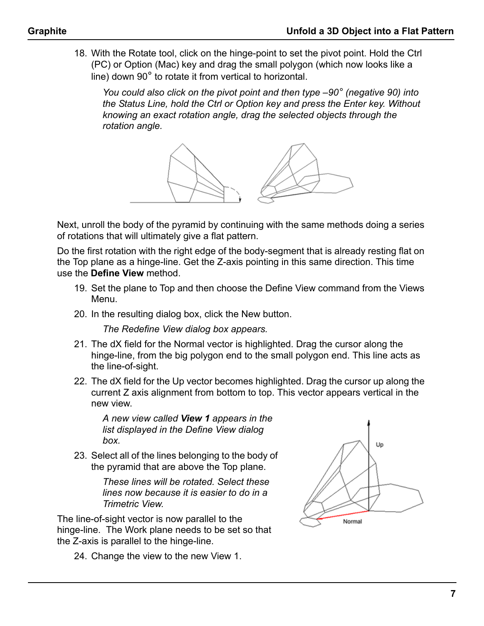18. With the Rotate tool, click on the hinge-point to set the pivot point. Hold the Ctrl (PC) or Option (Mac) key and drag the small polygon (which now looks like a line) down 90° to rotate it from vertical to horizontal.

*You could also click on the pivot point and then type –90° (negative 90) into the Status Line, hold the Ctrl or Option key and press the Enter key. Without knowing an exact rotation angle, drag the selected objects through the rotation angle.*



Next, unroll the body of the pyramid by continuing with the same methods doing a series of rotations that will ultimately give a flat pattern.

Do the first rotation with the right edge of the body-segment that is already resting flat on the Top plane as a hinge-line. Get the Z-axis pointing in this same direction. This time use the **Define View** method.

- 19. Set the plane to Top and then choose the Define View command from the Views Menu.
- 20. In the resulting dialog box, click the New button.

*The Redefine View dialog box appears.*

- 21. The dX field for the Normal vector is highlighted. Drag the cursor along the hinge-line, from the big polygon end to the small polygon end. This line acts as the line-of-sight.
- 22. The dX field for the Up vector becomes highlighted. Drag the cursor up along the current Z axis alignment from bottom to top. This vector appears vertical in the new view.

*A new view called View 1 appears in the list displayed in the Define View dialog box.*

23. Select all of the lines belonging to the body of the pyramid that are above the Top plane.

> *These lines will be rotated. Select these lines now because it is easier to do in a Trimetric View.*

The line-of-sight vector is now parallel to the hinge-line. The Work plane needs to be set so that the Z-axis is parallel to the hinge-line.

24. Change the view to the new View 1.

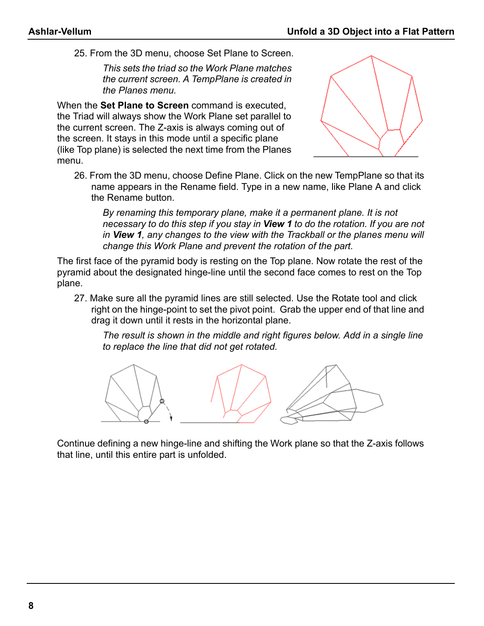25. From the 3D menu, choose Set Plane to Screen.

*This sets the triad so the Work Plane matches the current screen. A TempPlane is created in the Planes menu.*

When the **Set Plane to Screen** command is executed, the Triad will always show the Work Plane set parallel to the current screen. The Z-axis is always coming out of the screen. It stays in this mode until a specific plane (like Top plane) is selected the next time from the Planes menu.



26. From the 3D menu, choose Define Plane. Click on the new TempPlane so that its name appears in the Rename field. Type in a new name, like Plane A and click the Rename button.

*By renaming this temporary plane, make it a permanent plane. It is not necessary to do this step if you stay in View 1 to do the rotation. If you are not in View 1, any changes to the view with the Trackball or the planes menu will change this Work Plane and prevent the rotation of the part.* 

The first face of the pyramid body is resting on the Top plane. Now rotate the rest of the pyramid about the designated hinge-line until the second face comes to rest on the Top plane.

27. Make sure all the pyramid lines are still selected. Use the Rotate tool and click right on the hinge-point to set the pivot point. Grab the upper end of that line and drag it down until it rests in the horizontal plane.

*The result is shown in the middle and right figures below. Add in a single line to replace the line that did not get rotated.* 



Continue defining a new hinge-line and shifting the Work plane so that the Z-axis follows that line, until this entire part is unfolded.